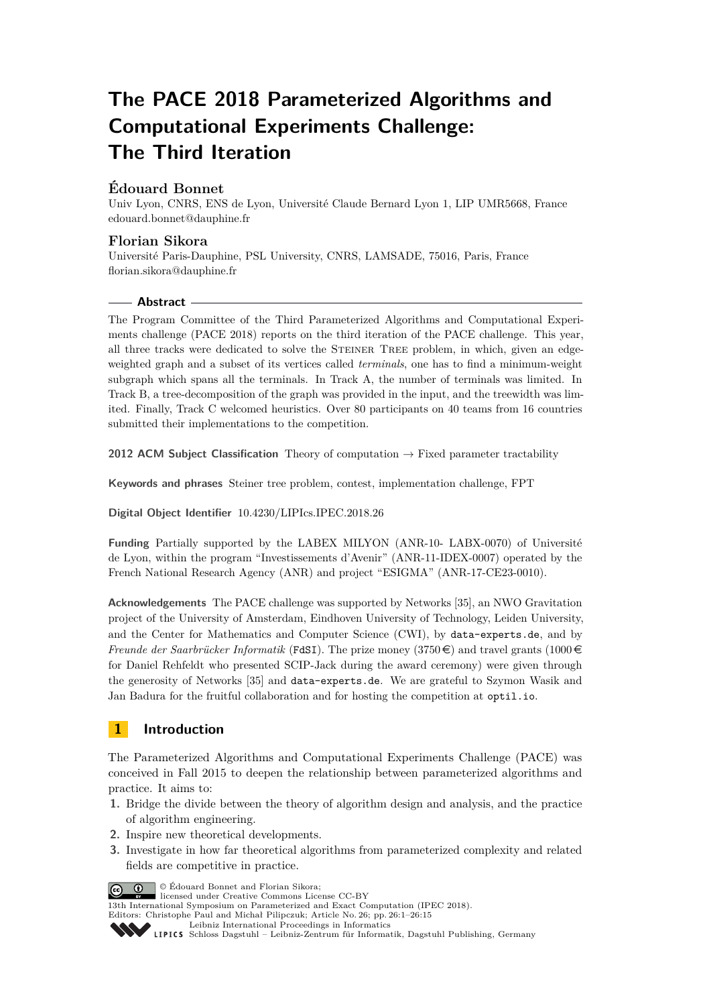# **The PACE 2018 Parameterized Algorithms and Computational Experiments Challenge: The Third Iteration**

# **Édouard Bonnet**

Univ Lyon, CNRS, ENS de Lyon, Université Claude Bernard Lyon 1, LIP UMR5668, France [edouard.bonnet@dauphine.fr](mailto:edouard.bonnet@dauphine.fr)

## **Florian Sikora**

Université Paris-Dauphine, PSL University, CNRS, LAMSADE, 75016, Paris, France [florian.sikora@dauphine.fr](mailto:florian.sikora@dauphine.fr)

#### **Abstract**

The Program Committee of the Third Parameterized Algorithms and Computational Experiments challenge (PACE 2018) reports on the third iteration of the PACE challenge. This year, all three tracks were dedicated to solve the Steiner Tree problem, in which, given an edgeweighted graph and a subset of its vertices called *terminals*, one has to find a minimum-weight subgraph which spans all the terminals. In Track A, the number of terminals was limited. In Track B, a tree-decomposition of the graph was provided in the input, and the treewidth was limited. Finally, Track C welcomed heuristics. Over 80 participants on 40 teams from 16 countries submitted their implementations to the competition.

**2012 ACM Subject Classification** Theory of computation → Fixed parameter tractability

**Keywords and phrases** Steiner tree problem, contest, implementation challenge, FPT

**Digital Object Identifier** [10.4230/LIPIcs.IPEC.2018.26](https://doi.org/10.4230/LIPIcs.IPEC.2018.26)

**Funding** Partially supported by the LABEX MILYON (ANR-10- LABX-0070) of Université de Lyon, within the program "Investissements d'Avenir" (ANR-11-IDEX-0007) operated by the French National Research Agency (ANR) and project "ESIGMA" (ANR-17-CE23-0010).

**Acknowledgements** The PACE challenge was supported by Networks [\[35\]](#page-14-0), an NWO Gravitation project of the University of Amsterdam, Eindhoven University of Technology, Leiden University, and the Center for Mathematics and Computer Science (CWI), by [data-experts.de](https://data-experts.de), and by *Freunde der Saarbrücker Informatik* ([FdSI](https://fdsi.org/)). The prize money (3750  $\in$ ) and travel grants (1000  $\in$ for Daniel Rehfeldt who presented SCIP-Jack during the award ceremony) were given through the generosity of Networks [\[35\]](#page-14-0) and [data-experts.de](https://data-experts.de). We are grateful to Szymon Wasik and Jan Badura for the fruitful collaboration and for hosting the competition at [optil.io](https://www.optil.io).

# **1 Introduction**

The Parameterized Algorithms and Computational Experiments Challenge (PACE) was conceived in Fall 2015 to deepen the relationship between parameterized algorithms and practice. It aims to:

- **1.** Bridge the divide between the theory of algorithm design and analysis, and the practice of algorithm engineering.
- **2.** Inspire new theoretical developments.
- **3.** Investigate in how far theoretical algorithms from parameterized complexity and related fields are competitive in practice.

**c**  $\bullet$   $\bullet$  Édouard Bonnet and Florian Sikora:

licensed under Creative Commons License CC-BY

13th International Symposium on Parameterized and Exact Computation (IPEC 2018). Editors: Christophe Paul and Michał Pilipczuk; Article No. 26; pp. 26:1–26[:15](#page-14-1)

[Leibniz International Proceedings in Informatics](http://www.dagstuhl.de/lipics/)

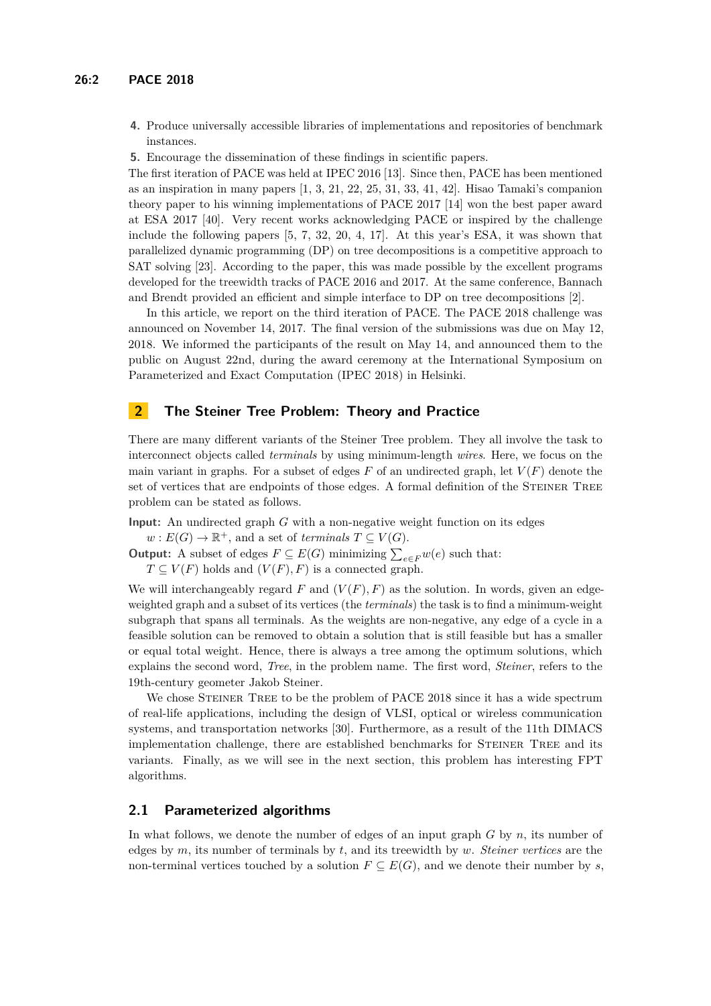- **4.** Produce universally accessible libraries of implementations and repositories of benchmark instances.
- **5.** Encourage the dissemination of these findings in scientific papers.

The first iteration of PACE was held at IPEC 2016 [\[13\]](#page-12-0). Since then, PACE has been mentioned as an inspiration in many papers  $[1, 3, 21, 22, 25, 31, 33, 41, 42]$  $[1, 3, 21, 22, 25, 31, 33, 41, 42]$  $[1, 3, 21, 22, 25, 31, 33, 41, 42]$  $[1, 3, 21, 22, 25, 31, 33, 41, 42]$  $[1, 3, 21, 22, 25, 31, 33, 41, 42]$  $[1, 3, 21, 22, 25, 31, 33, 41, 42]$  $[1, 3, 21, 22, 25, 31, 33, 41, 42]$  $[1, 3, 21, 22, 25, 31, 33, 41, 42]$  $[1, 3, 21, 22, 25, 31, 33, 41, 42]$  $[1, 3, 21, 22, 25, 31, 33, 41, 42]$  $[1, 3, 21, 22, 25, 31, 33, 41, 42]$  $[1, 3, 21, 22, 25, 31, 33, 41, 42]$  $[1, 3, 21, 22, 25, 31, 33, 41, 42]$  $[1, 3, 21, 22, 25, 31, 33, 41, 42]$  $[1, 3, 21, 22, 25, 31, 33, 41, 42]$  $[1, 3, 21, 22, 25, 31, 33, 41, 42]$  $[1, 3, 21, 22, 25, 31, 33, 41, 42]$ . Hisao Tamaki's companion theory paper to his winning implementations of PACE 2017 [\[14\]](#page-12-2) won the best paper award at ESA 2017 [\[40\]](#page-14-5). Very recent works acknowledging PACE or inspired by the challenge include the following papers [\[5,](#page-12-3) [7,](#page-12-4) [32,](#page-14-6) [20,](#page-13-4) [4,](#page-12-5) [17\]](#page-13-5). At this year's ESA, it was shown that parallelized dynamic programming (DP) on tree decompositions is a competitive approach to SAT solving [\[23\]](#page-13-6). According to the paper, this was made possible by the excellent programs developed for the treewidth tracks of PACE 2016 and 2017. At the same conference, Bannach and Brendt provided an efficient and simple interface to DP on tree decompositions [\[2\]](#page-11-1).

In this article, we report on the third iteration of PACE. The PACE 2018 challenge was announced on November 14, 2017. The final version of the submissions was due on May 12, 2018. We informed the participants of the result on May 14, and announced them to the public on August 22nd, during the award ceremony at the International Symposium on Parameterized and Exact Computation (IPEC 2018) in Helsinki.

## **2 The Steiner Tree Problem: Theory and Practice**

There are many different variants of the Steiner Tree problem. They all involve the task to interconnect objects called *terminals* by using minimum-length *wires*. Here, we focus on the main variant in graphs. For a subset of edges  $F$  of an undirected graph, let  $V(F)$  denote the set of vertices that are endpoints of those edges. A formal definition of the STEINER TREE problem can be stated as follows.

**Input:** An undirected graph *G* with a non-negative weight function on its edges

- $w: E(G) \to \mathbb{R}^+$ , and a set of *terminals*  $T \subseteq V(G)$ .
- **Output:** A subset of edges  $F \subseteq E(G)$  minimizing  $\sum_{e \in F} w(e)$  such that:
	- $T \subseteq V(F)$  holds and  $(V(F), F)$  is a connected graph.

We will interchangeably regard  $F$  and  $(V(F), F)$  as the solution. In words, given an edgeweighted graph and a subset of its vertices (the *terminals*) the task is to find a minimum-weight subgraph that spans all terminals. As the weights are non-negative, any edge of a cycle in a feasible solution can be removed to obtain a solution that is still feasible but has a smaller or equal total weight. Hence, there is always a tree among the optimum solutions, which explains the second word, *Tree*, in the problem name. The first word, *Steiner*, refers to the 19th-century geometer Jakob Steiner.

We chose STEINER TREE to be the problem of PACE 2018 since it has a wide spectrum of real-life applications, including the design of VLSI, optical or wireless communication systems, and transportation networks [\[30\]](#page-13-7). Furthermore, as a result of the 11th DIMACS implementation challenge, there are established benchmarks for STEINER TREE and its variants. Finally, as we will see in the next section, this problem has interesting FPT algorithms.

#### **2.1 Parameterized algorithms**

In what follows, we denote the number of edges of an input graph *G* by *n*, its number of edges by *m*, its number of terminals by *t*, and its treewidth by *w*. *Steiner vertices* are the non-terminal vertices touched by a solution  $F \subseteq E(G)$ , and we denote their number by *s*,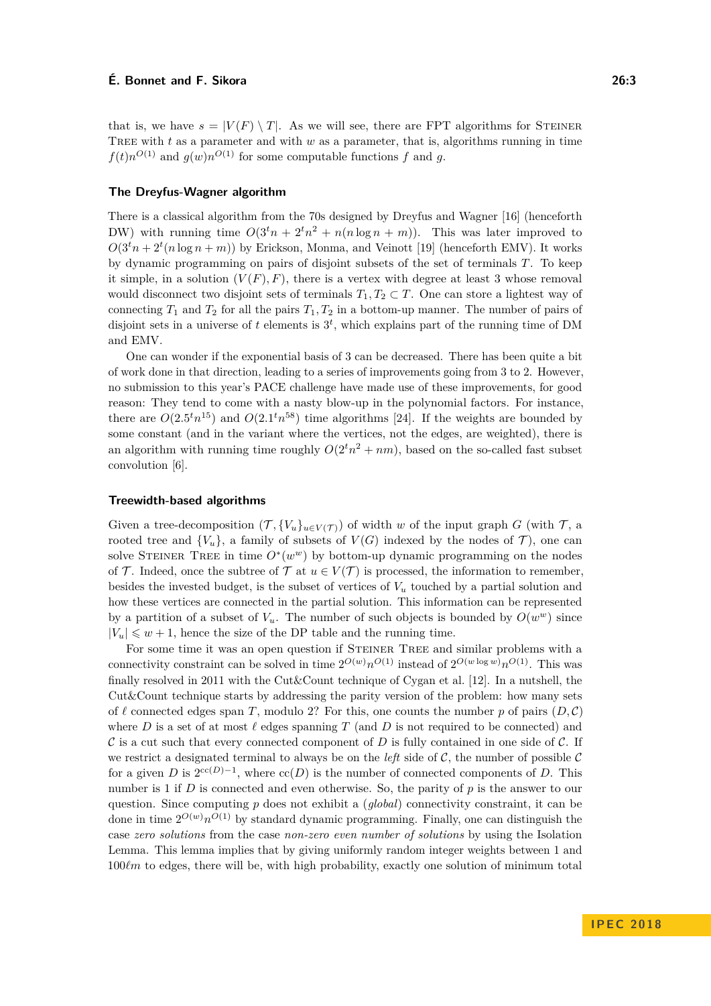that is, we have  $s = |V(F) \setminus T|$ . As we will see, there are FPT algorithms for STEINER TREE with  $t$  as a parameter and with  $w$  as a parameter, that is, algorithms running in time  $f(t)n^{O(1)}$  and  $g(w)n^{O(1)}$  for some computable functions *f* and *g*.

#### **The Dreyfus-Wagner algorithm**

There is a classical algorithm from the 70s designed by Dreyfus and Wagner [\[16\]](#page-12-6) (henceforth DW) with running time  $O(3<sup>t</sup>n + 2<sup>t</sup>n<sup>2</sup> + n(n \log n + m))$ . This was later improved to  $O(3<sup>t</sup>n + 2<sup>t</sup>(n \log n + m))$  by Erickson, Monma, and Veinott [\[19\]](#page-13-8) (henceforth EMV). It works by dynamic programming on pairs of disjoint subsets of the set of terminals *T*. To keep it simple, in a solution  $(V(F), F)$ , there is a vertex with degree at least 3 whose removal would disconnect two disjoint sets of terminals  $T_1, T_2 \subset T$ . One can store a lightest way of connecting  $T_1$  and  $T_2$  for all the pairs  $T_1, T_2$  in a bottom-up manner. The number of pairs of disjoint sets in a universe of  $t$  elements is  $3^t$ , which explains part of the running time of DM and EMV.

One can wonder if the exponential basis of 3 can be decreased. There has been quite a bit of work done in that direction, leading to a series of improvements going from 3 to 2. However, no submission to this year's PACE challenge have made use of these improvements, for good reason: They tend to come with a nasty blow-up in the polynomial factors. For instance, there are  $O(2.5<sup>t</sup>n<sup>15</sup>)$  and  $O(2.1<sup>t</sup>n<sup>58</sup>)$  time algorithms [\[24\]](#page-13-9). If the weights are bounded by some constant (and in the variant where the vertices, not the edges, are weighted), there is an algorithm with running time roughly  $O(2^tn^2 + nm)$ , based on the so-called fast subset convolution [\[6\]](#page-12-7).

#### **Treewidth-based algorithms**

Given a tree-decomposition  $(\mathcal{T}, \{V_u\}_{u \in V(\mathcal{T})})$  of width *w* of the input graph *G* (with  $\mathcal{T}$ , a rooted tree and  $\{V_u\}$ , a family of subsets of  $V(G)$  indexed by the nodes of  $\mathcal{T}$ ), one can solve STEINER TREE in time  $O^*(w^w)$  by bottom-up dynamic programming on the nodes of T. Indeed, once the subtree of T at  $u \in V(\mathcal{T})$  is processed, the information to remember, besides the invested budget, is the subset of vertices of  $V_u$  touched by a partial solution and how these vertices are connected in the partial solution. This information can be represented by a partition of a subset of  $V_u$ . The number of such objects is bounded by  $O(w^w)$  since  $|V_u| \leq w + 1$ , hence the size of the DP table and the running time.

For some time it was an open question if STEINER TREE and similar problems with a connectivity constraint can be solved in time  $2^{O(w)}n^{O(1)}$  instead of  $2^{O(w \log w)}n^{O(1)}$ . This was finally resolved in 2011 with the Cut&Count technique of Cygan et al. [\[12\]](#page-12-8). In a nutshell, the Cut&Count technique starts by addressing the parity version of the problem: how many sets of  $\ell$  connected edges span *T*, modulo 2? For this, one counts the number *p* of pairs  $(D, \mathcal{C})$ where *D* is a set of at most  $\ell$  edges spanning *T* (and *D* is not required to be connected) and  $\mathcal C$  is a cut such that every connected component of  $D$  is fully contained in one side of  $\mathcal C$ . If we restrict a designated terminal to always be on the *left* side of  $C$ , the number of possible  $C$ for a given *D* is  $2^{cc(D)-1}$ , where  $cc(D)$  is the number of connected components of *D*. This number is 1 if *D* is connected and even otherwise. So, the parity of *p* is the answer to our question. Since computing *p* does not exhibit a (*global*) connectivity constraint, it can be done in time  $2^{O(w)}n^{O(1)}$  by standard dynamic programming. Finally, one can distinguish the case *zero solutions* from the case *non-zero even number of solutions* by using the Isolation Lemma. This lemma implies that by giving uniformly random integer weights between 1 and  $100\ell m$  to edges, there will be, with high probability, exactly one solution of minimum total

**I P E C 2 0 1 8**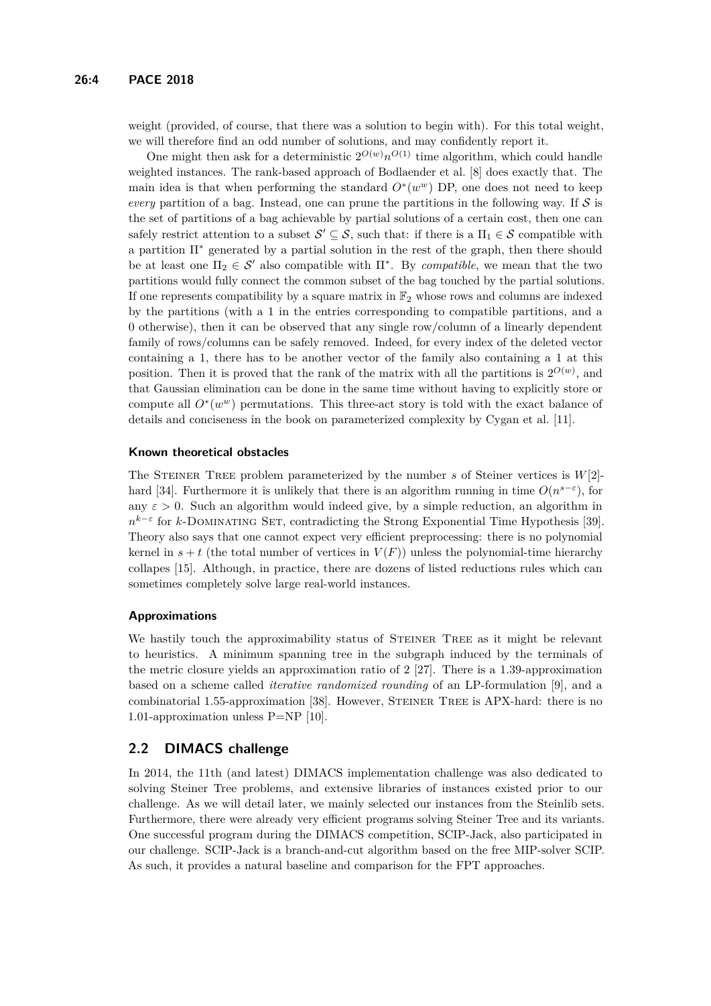weight (provided, of course, that there was a solution to begin with). For this total weight, we will therefore find an odd number of solutions, and may confidently report it.

One might then ask for a deterministic  $2^{O(w)}n^{O(1)}$  time algorithm, which could handle weighted instances. The rank-based approach of Bodlaender et al. [\[8\]](#page-12-9) does exactly that. The main idea is that when performing the standard  $O^*(w^w)$  DP, one does not need to keep *every* partition of a bag. Instead, one can prune the partitions in the following way. If  $S$  is the set of partitions of a bag achievable by partial solutions of a certain cost, then one can safely restrict attention to a subset  $\mathcal{S}' \subseteq \mathcal{S}$ , such that: if there is a  $\Pi_1 \in \mathcal{S}$  compatible with a partition  $\Pi^*$  generated by a partial solution in the rest of the graph, then there should be at least one  $\Pi_2 \in \mathcal{S}'$  also compatible with  $\Pi^*$ . By *compatible*, we mean that the two partitions would fully connect the common subset of the bag touched by the partial solutions. If one represents compatibility by a square matrix in  $\mathbb{F}_2$  whose rows and columns are indexed by the partitions (with a 1 in the entries corresponding to compatible partitions, and a 0 otherwise), then it can be observed that any single row/column of a linearly dependent family of rows/columns can be safely removed. Indeed, for every index of the deleted vector containing a 1, there has to be another vector of the family also containing a 1 at this position. Then it is proved that the rank of the matrix with all the partitions is  $2^{O(w)}$ , and that Gaussian elimination can be done in the same time without having to explicitly store or compute all  $O^*(w^w)$  permutations. This three-act story is told with the exact balance of details and conciseness in the book on parameterized complexity by Cygan et al. [\[11\]](#page-12-10).

#### **Known theoretical obstacles**

The Steiner Tree problem parameterized by the number *s* of Steiner vertices is *W*[2]- hard [\[34\]](#page-14-7). Furthermore it is unlikely that there is an algorithm running in time  $O(n^{s-\epsilon})$ , for any  $\varepsilon > 0$ . Such an algorithm would indeed give, by a simple reduction, an algorithm in  $n^{k-\varepsilon}$  for *k*-DOMINATING SET, contradicting the Strong Exponential Time Hypothesis [\[39\]](#page-14-8). Theory also says that one cannot expect very efficient preprocessing: there is no polynomial kernel in  $s + t$  (the total number of vertices in  $V(F)$ ) unless the polynomial-time hierarchy collapes [\[15\]](#page-12-11). Although, in practice, there are dozens of listed reductions rules which can sometimes completely solve large real-world instances.

#### **Approximations**

We hastily touch the approximability status of STEINER TREE as it might be relevant to heuristics. A minimum spanning tree in the subgraph induced by the terminals of the metric closure yields an approximation ratio of 2 [\[27\]](#page-13-10). There is a 1.39-approximation based on a scheme called *iterative randomized rounding* of an LP-formulation [\[9\]](#page-12-12), and a combinatorial 1.55-approximation [\[38\]](#page-14-9). However, STEINER TREE is APX-hard: there is no 1.01-approximation unless P=NP [\[10\]](#page-12-13).

#### **2.2 DIMACS challenge**

In 2014, the 11th (and latest) DIMACS implementation challenge was also dedicated to solving Steiner Tree problems, and extensive libraries of instances existed prior to our challenge. As we will detail later, we mainly selected our instances from the Steinlib sets. Furthermore, there were already very efficient programs solving Steiner Tree and its variants. One successful program during the DIMACS competition, SCIP-Jack, also participated in our challenge. SCIP-Jack is a branch-and-cut algorithm based on the free MIP-solver SCIP. As such, it provides a natural baseline and comparison for the FPT approaches.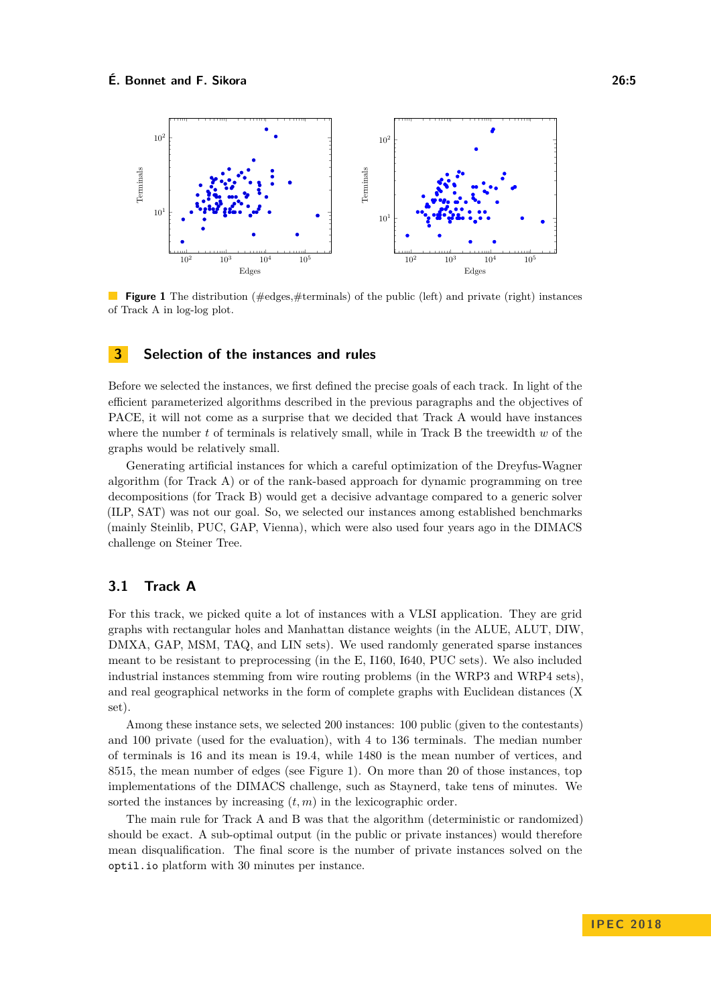<span id="page-4-0"></span>

**Figure 1** The distribution (#edges,#terminals) of the public (left) and private (right) instances  $\mathcal{L}_{\mathcal{A}}$ of Track A in log-log plot.

#### **3 Selection of the instances and rules**

Before we selected the instances, we first defined the precise goals of each track. In light of the efficient parameterized algorithms described in the previous paragraphs and the objectives of PACE, it will not come as a surprise that we decided that Track A would have instances where the number *t* of terminals is relatively small, while in Track B the treewidth *w* of the graphs would be relatively small.

Generating artificial instances for which a careful optimization of the Dreyfus-Wagner algorithm (for Track A) or of the rank-based approach for dynamic programming on tree decompositions (for Track B) would get a decisive advantage compared to a generic solver (ILP, SAT) was not our goal. So, we selected our instances among established benchmarks (mainly Steinlib, PUC, GAP, Vienna), which were also used four years ago in the DIMACS challenge on Steiner Tree.

## **3.1 Track A**

For this track, we picked quite a lot of instances with a VLSI application. They are grid graphs with rectangular holes and Manhattan distance weights (in the ALUE, ALUT, DIW, DMXA, GAP, MSM, TAQ, and LIN sets). We used randomly generated sparse instances meant to be resistant to preprocessing (in the E, I160, I640, PUC sets). We also included industrial instances stemming from wire routing problems (in the WRP3 and WRP4 sets), and real geographical networks in the form of complete graphs with Euclidean distances (X set).

Among these instance sets, we selected 200 instances: 100 public (given to the contestants) and 100 private (used for the evaluation), with 4 to 136 terminals. The median number of terminals is 16 and its mean is 19.4, while 1480 is the mean number of vertices, and 8515, the mean number of edges (see Figure [1\)](#page-4-0). On more than 20 of those instances, top implementations of the DIMACS challenge, such as Staynerd, take tens of minutes. We sorted the instances by increasing  $(t, m)$  in the lexicographic order.

The main rule for Track A and B was that the algorithm (deterministic or randomized) should be exact. A sub-optimal output (in the public or private instances) would therefore mean disqualification. The final score is the number of private instances solved on the optil.io platform with 30 minutes per instance.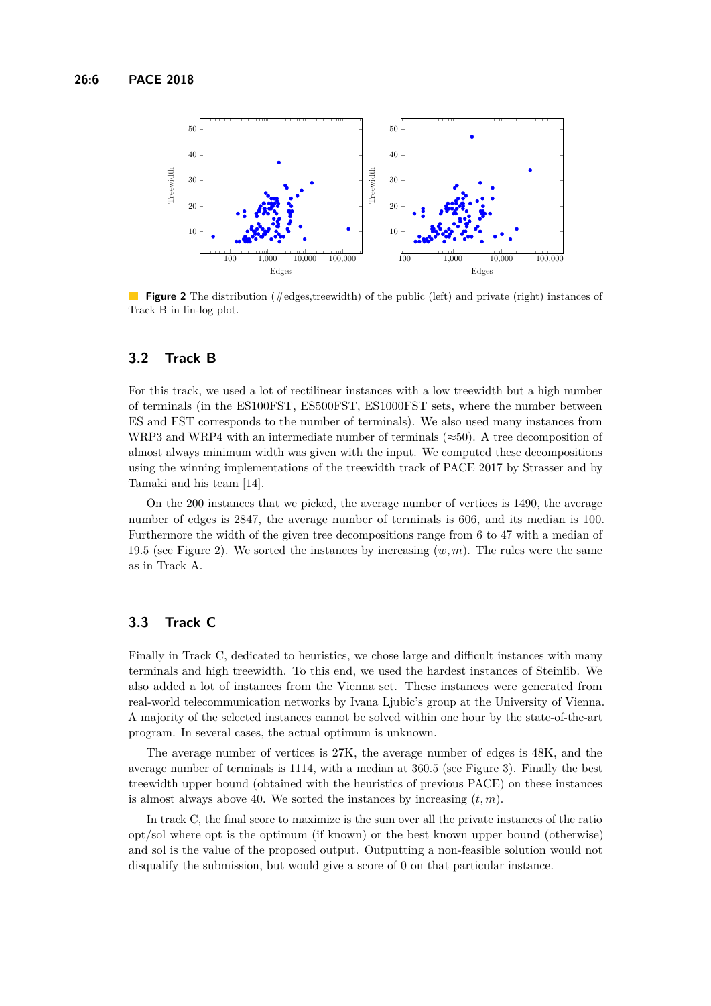<span id="page-5-0"></span>

**Figure 2** The distribution (#edges,treewidth) of the public (left) and private (right) instances of Track B in lin-log plot.

#### **3.2 Track B**

For this track, we used a lot of rectilinear instances with a low treewidth but a high number of terminals (in the ES100FST, ES500FST, ES1000FST sets, where the number between ES and FST corresponds to the number of terminals). We also used many instances from WRP3 and WRP4 with an intermediate number of terminals ( $\approx 50$ ). A tree decomposition of almost always minimum width was given with the input. We computed these decompositions using the winning implementations of the treewidth track of PACE 2017 by Strasser and by Tamaki and his team [\[14\]](#page-12-2).

On the 200 instances that we picked, the average number of vertices is 1490, the average number of edges is 2847, the average number of terminals is 606, and its median is 100. Furthermore the width of the given tree decompositions range from 6 to 47 with a median of 19.5 (see Figure [2\)](#page-5-0). We sorted the instances by increasing (*w, m*). The rules were the same as in Track A.

## **3.3 Track C**

Finally in Track C, dedicated to heuristics, we chose large and difficult instances with many terminals and high treewidth. To this end, we used the hardest instances of Steinlib. We also added a lot of instances from the Vienna set. These instances were generated from real-world telecommunication networks by Ivana Ljubic's group at the University of Vienna. A majority of the selected instances cannot be solved within one hour by the state-of-the-art program. In several cases, the actual optimum is unknown.

The average number of vertices is 27K, the average number of edges is 48K, and the average number of terminals is 1114, with a median at 360.5 (see Figure [3\)](#page-6-0). Finally the best treewidth upper bound (obtained with the heuristics of previous PACE) on these instances is almost always above 40. We sorted the instances by increasing  $(t, m)$ .

In track C, the final score to maximize is the sum over all the private instances of the ratio opt*/*sol where opt is the optimum (if known) or the best known upper bound (otherwise) and sol is the value of the proposed output. Outputting a non-feasible solution would not disqualify the submission, but would give a score of 0 on that particular instance.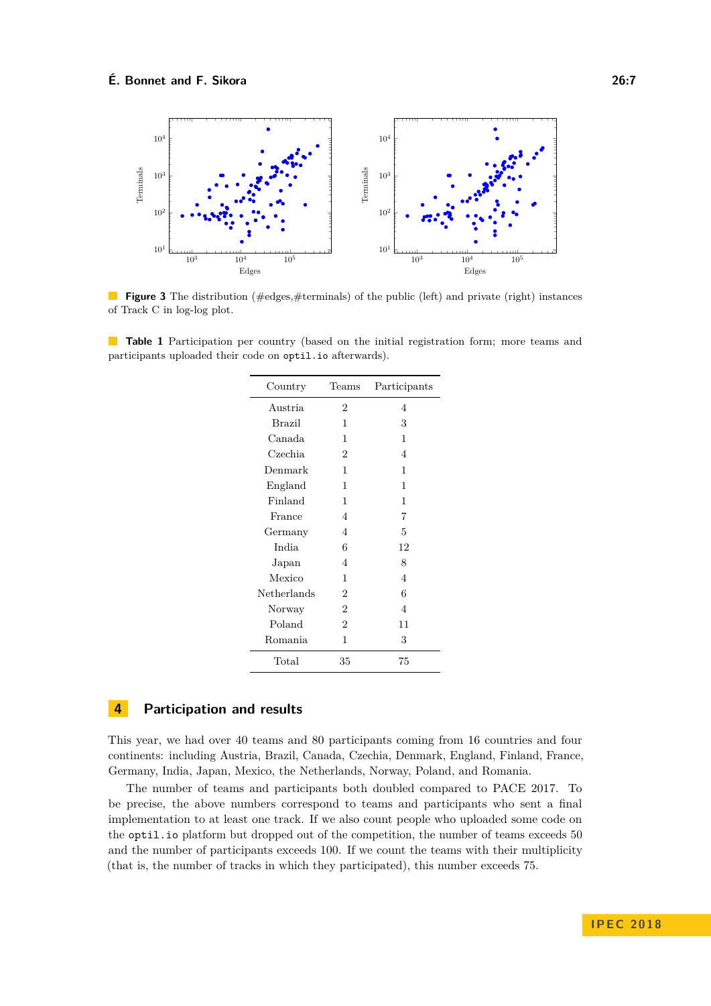<span id="page-6-0"></span>

**Figure 3** The distribution (#edges,#terminals) of the public (left) and private (right) instances of Track C in log-log plot.

**Table 1** Participation per country (based on the initial registration form; more teams and participants uploaded their code on optil.io afterwards).

| Country       | Teams          | Participants   |
|---------------|----------------|----------------|
| Austria       | $\overline{2}$ | 4              |
| <b>Brazil</b> | 1              | 3              |
| Canada        | 1              | 1              |
| Czechia       | 2              | 4              |
| Denmark       | 1              | 1              |
| England       | 1              | 1              |
| Finland       | 1              | 1              |
| France        | 4              | 7              |
| Germany       | 4              | 5              |
| India         | 6              | 12             |
| Japan         | $\overline{4}$ | 8              |
| Mexico        | 1              | $\overline{4}$ |
| Netherlands   | $\overline{2}$ | 6              |
| Norway        | $\overline{2}$ | $\overline{4}$ |
| Poland        | $\overline{2}$ | 11             |
| Romania       | 1              | 3              |
| Total         | 35             | 75             |

## **4 Participation and results**

This year, we had over 40 teams and 80 participants coming from 16 countries and four continents: including Austria, Brazil, Canada, Czechia, Denmark, England, Finland, France, Germany, India, Japan, Mexico, the Netherlands, Norway, Poland, and Romania.

The number of teams and participants both doubled compared to PACE 2017. To be precise, the above numbers correspond to teams and participants who sent a final implementation to at least one track. If we also count people who uploaded some code on the optil.io platform but dropped out of the competition, the number of teams exceeds 50 and the number of participants exceeds 100. If we count the teams with their multiplicity (that is, the number of tracks in which they participated), this number exceeds 75.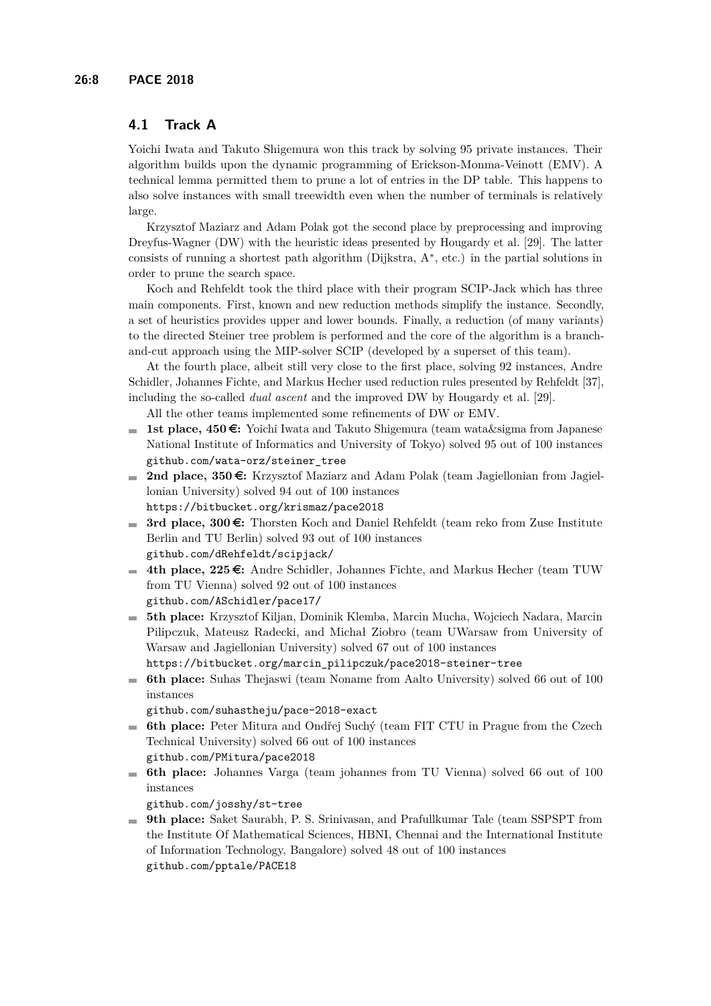## **4.1 Track A**

Yoichi Iwata and Takuto Shigemura won this track by solving 95 private instances. Their algorithm builds upon the dynamic programming of Erickson-Monma-Veinott (EMV). A technical lemma permitted them to prune a lot of entries in the DP table. This happens to also solve instances with small treewidth even when the number of terminals is relatively large.

Krzysztof Maziarz and Adam Polak got the second place by preprocessing and improving Dreyfus-Wagner (DW) with the heuristic ideas presented by Hougardy et al. [\[29\]](#page-13-11). The latter consists of running a shortest path algorithm (Dijkstra, A<sup>∗</sup> , etc.) in the partial solutions in order to prune the search space.

Koch and Rehfeldt took the third place with their program SCIP-Jack which has three main components. First, known and new reduction methods simplify the instance. Secondly, a set of heuristics provides upper and lower bounds. Finally, a reduction (of many variants) to the directed Steiner tree problem is performed and the core of the algorithm is a branchand-cut approach using the MIP-solver SCIP (developed by a superset of this team).

At the fourth place, albeit still very close to the first place, solving 92 instances, Andre Schidler, Johannes Fichte, and Markus Hecher used reduction rules presented by Rehfeldt [\[37\]](#page-14-10), including the so-called *dual ascent* and the improved DW by Hougardy et al. [\[29\]](#page-13-11).

All the other teams implemented some refinements of DW or EMV.

- **1st place, 450 €:** Yoichi Iwata and Takuto Shigemura (team wata&sigma from Japanese National Institute of Informatics and University of Tokyo) solved 95 out of 100 instances [github.com/wata-orz/steiner\\_tree](https://github.com/wata-orz/steiner_tree)
- **2nd place, 350 €:** Krzysztof Maziarz and Adam Polak (team Jagiellonian from Jagiellonian University) solved 94 out of 100 instances <https://bitbucket.org/krismaz/pace2018>
- **3rd place, 300 €:** Thorsten Koch and Daniel Rehfeldt (team reko from Zuse Institute  $\sim$ Berlin and TU Berlin) solved 93 out of 100 instances [github.com/dRehfeldt/scipjack/](https://github.com/dRehfeldt/scipjack/)
- 4th place, 225 €: Andre Schidler, Johannes Fichte, and Markus Hecher (team TUW from TU Vienna) solved 92 out of 100 instances [github.com/ASchidler/pace17/](https://github.com/ASchidler/pace17/)
- **5th place:** Krzysztof Kiljan, Dominik Klemba, Marcin Mucha, Wojciech Nadara, Marcin m. Pilipczuk, Mateusz Radecki, and Michał Ziobro (team UWarsaw from University of Warsaw and Jagiellonian University) solved 67 out of 100 instances

[https://bitbucket.org/marcin\\_pilipczuk/pace2018-steiner-tree](https://bitbucket.org/marcin_pilipczuk/pace2018-steiner-tree)

**6th place:** Suhas Thejaswi (team Noname from Aalto University) solved 66 out of 100 instances

[github.com/suhastheju/pace-2018-exact](https://github.com/suhastheju/pace-2018-exact)

- **6th place:** Peter Mitura and Ondřej Suchý (team FIT CTU in Prague from the Czech  $\mathcal{L}_{\mathcal{A}}$ Technical University) solved 66 out of 100 instances [github.com/PMitura/pace2018](https://github.com/PMitura/pace2018)
- **6th place:** Johannes Varga (team johannes from TU Vienna) solved 66 out of 100 instances

[github.com/josshy/st-tree](https://github.com/josshy/st-tree)

**9th place:** Saket Saurabh, P. S. Srinivasan, and Prafullkumar Tale (team SSPSPT from the Institute Of Mathematical Sciences, HBNI, Chennai and the International Institute of Information Technology, Bangalore) solved 48 out of 100 instances [github.com/pptale/PACE18](https://github.com/pptale/PACE18)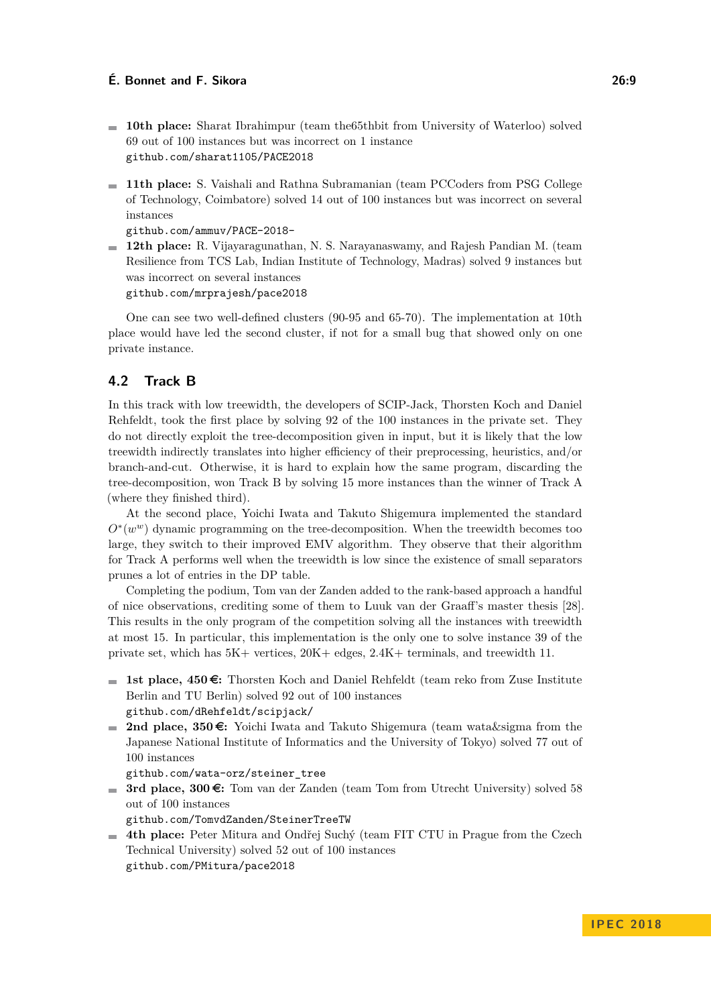- **10th place:** Sharat Ibrahimpur (team the65thbit from University of Waterloo) solved 69 out of 100 instances but was incorrect on 1 instance [github.com/sharat1105/PACE2018](https://github.com/sharat1105/PACE2018)
- **11th place:** S. Vaishali and Rathna Subramanian (team PCCoders from PSG College of Technology, Coimbatore) solved 14 out of 100 instances but was incorrect on several instances

[github.com/ammuv/PACE-2018-](https://github.com/ammuv/PACE-2018-)

**12th place:** R. Vijayaragunathan, N. S. Narayanaswamy, and Rajesh Pandian M. (team Resilience from TCS Lab, Indian Institute of Technology, Madras) solved 9 instances but was incorrect on several instances [github.com/mrprajesh/pace2018](https://github.com/mrprajesh/pace2018)

One can see two well-defined clusters (90-95 and 65-70). The implementation at 10th place would have led the second cluster, if not for a small bug that showed only on one private instance.

## **4.2 Track B**

In this track with low treewidth, the developers of SCIP-Jack, Thorsten Koch and Daniel Rehfeldt, took the first place by solving 92 of the 100 instances in the private set. They do not directly exploit the tree-decomposition given in input, but it is likely that the low treewidth indirectly translates into higher efficiency of their preprocessing, heuristics, and/or branch-and-cut. Otherwise, it is hard to explain how the same program, discarding the tree-decomposition, won Track B by solving 15 more instances than the winner of Track A (where they finished third).

At the second place, Yoichi Iwata and Takuto Shigemura implemented the standard *O*<sup>∗</sup>(*w*<sup>*w*</sup>) dynamic programming on the tree-decomposition. When the treewidth becomes too large, they switch to their improved EMV algorithm. They observe that their algorithm for Track A performs well when the treewidth is low since the existence of small separators prunes a lot of entries in the DP table.

Completing the podium, Tom van der Zanden added to the rank-based approach a handful of nice observations, crediting some of them to Luuk van der Graaff's master thesis [\[28\]](#page-13-12). This results in the only program of the competition solving all the instances with treewidth at most 15. In particular, this implementation is the only one to solve instance 39 of the private set, which has 5K+ vertices, 20K+ edges, 2.4K+ terminals, and treewidth 11.

- **1st place,**  $450 \epsilon$ **:** Thorsten Koch and Daniel Rehfeldt (team reko from Zuse Institute Berlin and TU Berlin) solved 92 out of 100 instances [github.com/dRehfeldt/scipjack/](https://github.com/dRehfeldt/scipjack/)
- 2nd place, 350 €: Yoichi Iwata and Takuto Shigemura (team wata & sigma from the Japanese National Institute of Informatics and the University of Tokyo) solved 77 out of 100 instances

[github.com/wata-orz/steiner\\_tree](https://github.com/wata-orz/steiner_tree)

**3rd place, 300** $\epsilon$ **:** Tom van der Zanden (team Tom from Utrecht University) solved 58 out of 100 instances

[github.com/TomvdZanden/SteinerTreeTW](https://github.com/TomvdZanden/SteinerTreeTW)

**4th place:** Peter Mitura and Ondřej Suchý (team FIT CTU in Prague from the Czech Technical University) solved 52 out of 100 instances [github.com/PMitura/pace2018](https://github.com/PMitura/pace2018)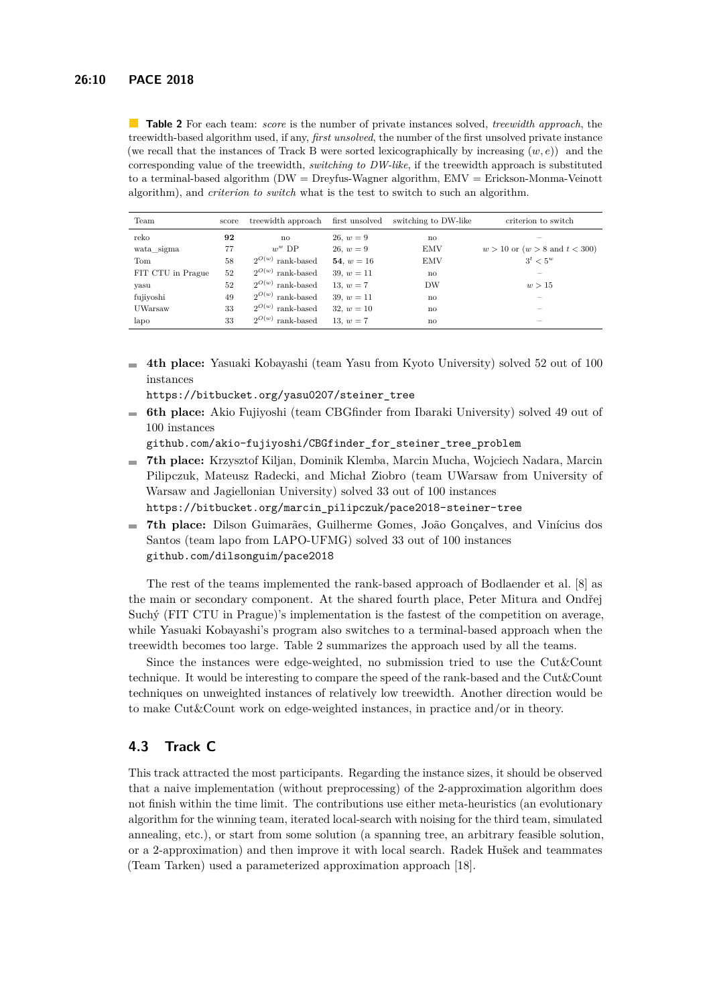<span id="page-9-0"></span>**Table 2** For each team: *score* is the number of private instances solved, *treewidth approach*, the treewidth-based algorithm used, if any, *first unsolved*, the number of the first unsolved private instance (we recall that the instances of Track B were sorted lexicographically by increasing (*w, e*)) and the corresponding value of the treewidth, *switching to DW-like*, if the treewidth approach is substituted to a terminal-based algorithm (DW = Dreyfus-Wagner algorithm, EMV = Erickson-Monma-Veinott algorithm), and *criterion to switch* what is the test to switch to such an algorithm.

| Team              | score | treewidth approach       | first unsolved | switching to DW-like | criterion to switch                  |
|-------------------|-------|--------------------------|----------------|----------------------|--------------------------------------|
| reko              | 92    | no                       | $26, w = 9$    | no                   |                                      |
| wata sigma        | 77    | $w^w$ DP                 | $26, w = 9$    | EMV                  | $w > 10$ or $(w > 8$ and $t < 300$ ) |
| Tom               | 58    | $2^{O(w)}$ rank-based    | 54, $w = 16$   | <b>EMV</b>           | $3^t < 5^w$                          |
| FIT CTU in Prague | 52    | $2^{O(w)}$ rank-based    | 39, $w = 11$   | no                   |                                      |
| yasu              | 52    | $2^{O(w)}$ rank-based    | 13, $w = 7$    | DW                   | w > 15                               |
| fujiyoshi         | 49    | $2^{O(w)}$ rank-based    | 39. $w = 11$   | no                   |                                      |
| UWarsaw           | 33    | $2^{O(w)}$<br>rank-based | $32, w = 10$   | no                   | $\overline{\phantom{a}}$             |
| lapo              | 33    | $2^{O(w)}$<br>rank-based | 13, $w = 7$    | no                   | $\overline{\phantom{a}}$             |

**4th place:** Yasuaki Kobayashi (team Yasu from Kyoto University) solved 52 out of 100  $\equiv$ instances

[https://bitbucket.org/yasu0207/steiner\\_tree](https://bitbucket.org/yasu0207/steiner_tree)

**6th place:** Akio Fujiyoshi (team CBGfinder from Ibaraki University) solved 49 out of 100 instances

[github.com/akio-fujiyoshi/CBGfinder\\_for\\_steiner\\_tree\\_problem](https://github.com/akio-fujiyoshi/CBGfinder_for_steiner_tree_problem)

**7th place:** Krzysztof Kiljan, Dominik Klemba, Marcin Mucha, Wojciech Nadara, Marcin Pilipczuk, Mateusz Radecki, and Michał Ziobro (team UWarsaw from University of Warsaw and Jagiellonian University) solved 33 out of 100 instances

[https://bitbucket.org/marcin\\_pilipczuk/pace2018-steiner-tree](https://bitbucket.org/marcin_pilipczuk/pace2018-steiner-tree)

**7th place:** Dilson Guimarães, Guilherme Gomes, João Gonçalves, and Vinícius dos m. Santos (team lapo from LAPO-UFMG) solved 33 out of 100 instances [github.com/dilsonguim/pace2018](https://github.com/dilsonguim/pace2018)

The rest of the teams implemented the rank-based approach of Bodlaender et al. [\[8\]](#page-12-9) as the main or secondary component. At the shared fourth place, Peter Mitura and Ondřej Suchý (FIT CTU in Prague)'s implementation is the fastest of the competition on average, while Yasuaki Kobayashi's program also switches to a terminal-based approach when the treewidth becomes too large. Table [2](#page-9-0) summarizes the approach used by all the teams.

Since the instances were edge-weighted, no submission tried to use the Cut&Count technique. It would be interesting to compare the speed of the rank-based and the Cut&Count techniques on unweighted instances of relatively low treewidth. Another direction would be to make Cut&Count work on edge-weighted instances, in practice and/or in theory.

# **4.3 Track C**

This track attracted the most participants. Regarding the instance sizes, it should be observed that a naive implementation (without preprocessing) of the 2-approximation algorithm does not finish within the time limit. The contributions use either meta-heuristics (an evolutionary algorithm for the winning team, iterated local-search with noising for the third team, simulated annealing, etc.), or start from some solution (a spanning tree, an arbitrary feasible solution, or a 2-approximation) and then improve it with local search. Radek Hušek and teammates (Team Tarken) used a parameterized approximation approach [\[18\]](#page-13-13).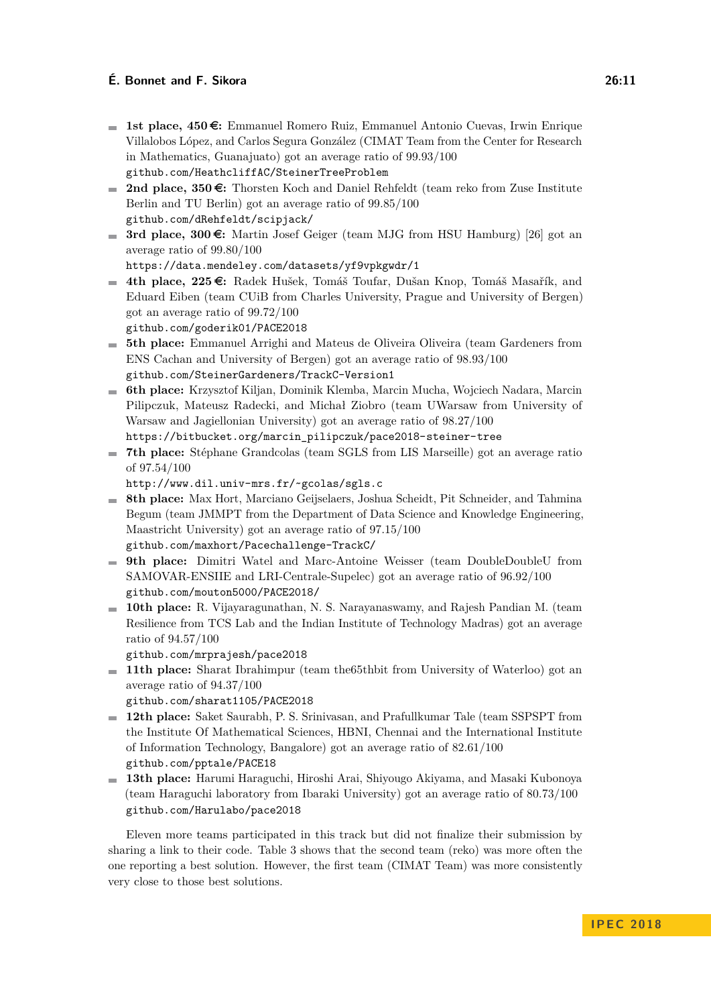- 1st place, 450 €: Emmanuel Romero Ruiz, Emmanuel Antonio Cuevas, Irwin Enrique Villalobos López, and Carlos Segura González (CIMAT Team from the Center for Research in Mathematics, Guanajuato) got an average ratio of 99.93/100 [github.com/HeathcliffAC/SteinerTreeProblem](https://github.com/HeathcliffAC/SteinerTreeProblem)
- 2nd place, 350 €: Thorsten Koch and Daniel Rehfeldt (team reko from Zuse Institute Berlin and TU Berlin) got an average ratio of 99.85/100 [github.com/dRehfeldt/scipjack/](https://github.com/dRehfeldt/scipjack/)
- **3rd place, 300** $\epsilon$ **:** Martin Josef Geiger (team MJG from HSU Hamburg) [\[26\]](#page-13-14) got an average ratio of 99.80/100

<https://data.mendeley.com/datasets/yf9vpkgwdr/1>

**■ 4th place, 225 €:** Radek Hušek, Tomáš Toufar, Dušan Knop, Tomáš Masařík, and Eduard Eiben (team CUiB from Charles University, Prague and University of Bergen) got an average ratio of 99.72/100

[github.com/goderik01/PACE2018](https://github.com/goderik01/PACE2018)

- **5th place:** Emmanuel Arrighi and Mateus de Oliveira Oliveira (team Gardeners from ENS Cachan and University of Bergen) got an average ratio of 98.93/100 [github.com/SteinerGardeners/TrackC-Version1](https://github.com/SteinerGardeners/TrackC-Version1)
- **6th place:** Krzysztof Kiljan, Dominik Klemba, Marcin Mucha, Wojciech Nadara, Marcin Pilipczuk, Mateusz Radecki, and Michał Ziobro (team UWarsaw from University of Warsaw and Jagiellonian University) got an average ratio of 98.27/100
	- [https://bitbucket.org/marcin\\_pilipczuk/pace2018-steiner-tree](https://bitbucket.org/marcin_pilipczuk/pace2018-steiner-tree)
- **7th place:** Stéphane Grandcolas (team SGLS from LIS Marseille) got an average ratio of 97.54/100
	- <http://www.dil.univ-mrs.fr/~gcolas/sgls.c>
- **8th place:** Max Hort, Marciano Geijselaers, Joshua Scheidt, Pit Schneider, and Tahmina Begum (team JMMPT from the Department of Data Science and Knowledge Engineering, Maastricht University) got an average ratio of 97.15/100 [github.com/maxhort/Pacechallenge-TrackC/](https://github.com/maxhort/Pacechallenge-TrackC/)
- **9th place:** Dimitri Watel and Marc-Antoine Weisser (team DoubleDoubleU from SAMOVAR-ENSIIE and LRI-Centrale-Supelec) got an average ratio of 96.92/100 [github.com/mouton5000/PACE2018/](https://github.com/mouton5000/PACE2018/)
- **10th place:** R. Vijayaragunathan, N. S. Narayanaswamy, and Rajesh Pandian M. (team Resilience from TCS Lab and the Indian Institute of Technology Madras) got an average ratio of 94.57/100
	- [github.com/mrprajesh/pace2018](https://github.com/mrprajesh/pace2018)
- **11th place:** Sharat Ibrahimpur (team the65thbit from University of Waterloo) got an average ratio of 94.37/100

[github.com/sharat1105/PACE2018](https://github.com/sharat1105/PACE2018)

- **12th place:** Saket Saurabh, P. S. Srinivasan, and Prafullkumar Tale (team SSPSPT from the Institute Of Mathematical Sciences, HBNI, Chennai and the International Institute of Information Technology, Bangalore) got an average ratio of 82.61/100 [github.com/pptale/PACE18](https://github.com/pptale/PACE18)
- **13th place:** Harumi Haraguchi, Hiroshi Arai, Shiyougo Akiyama, and Masaki Kubonoya (team Haraguchi laboratory from Ibaraki University) got an average ratio of 80.73/100 [github.com/Harulabo/pace2018](https://github.com/Harulabo/pace2018)

Eleven more teams participated in this track but did not finalize their submission by sharing a link to their code. Table [3](#page-11-2) shows that the second team (reko) was more often the one reporting a best solution. However, the first team (CIMAT Team) was more consistently very close to those best solutions.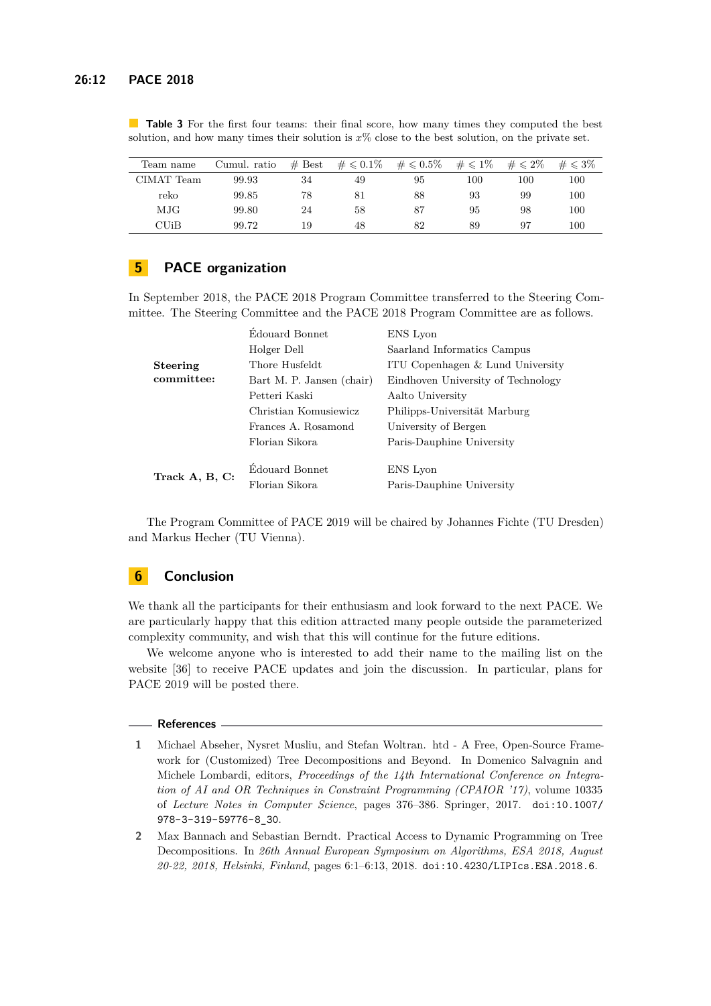| Team name  | Cumul. ratio | $#$ Best | $\# \leqslant 0.1\%$ | $\#\leqslant0.5\%$ | $\#\leqslant 1\%$ | $\#\leqslant 2\%$ | $\#\leqslant 3\%$ |
|------------|--------------|----------|----------------------|--------------------|-------------------|-------------------|-------------------|
| CIMAT Team | 99.93        | 34       | 49                   | 95                 | 100               | 100               | 100               |
| reko       | 99.85        | 78       | 81                   | 88                 | 93                | 99                | 100               |
| MJG        | 99.80        | 24       | 58                   | 87                 | 95                | 98                | 100               |
| CUiB       | 99.72        | 19       | 48                   | 82                 | 89                | 97                | 100               |

<span id="page-11-2"></span>**Table 3** For the first four teams: their final score, how many times they computed the best solution, and how many times their solution is *x*% close to the best solution, on the private set.

# **5 PACE organization**

In September 2018, the PACE 2018 Program Committee transferred to the Steering Committee. The Steering Committee and the PACE 2018 Program Committee are as follows.

| Edouard Bonnet            | ENS Lyon                           |  |  |
|---------------------------|------------------------------------|--|--|
| Holger Dell               | Saarland Informatics Campus        |  |  |
| Thore Husfeldt            | ITU Copenhagen & Lund University   |  |  |
| Bart M. P. Jansen (chair) | Eindhoven University of Technology |  |  |
| Petteri Kaski             | Aalto University                   |  |  |
| Christian Komusiewicz     | Philipps-Universität Marburg       |  |  |
| Frances A. Rosamond       | University of Bergen               |  |  |
| Florian Sikora            | Paris-Dauphine University          |  |  |
|                           |                                    |  |  |
|                           | ENS Lyon                           |  |  |
| Florian Sikora            | Paris-Dauphine University          |  |  |
|                           | Edouard Bonnet                     |  |  |

The Program Committee of PACE 2019 will be chaired by Johannes Fichte (TU Dresden) and Markus Hecher (TU Vienna).

## **6 Conclusion**

We thank all the participants for their enthusiasm and look forward to the next PACE. We are particularly happy that this edition attracted many people outside the parameterized complexity community, and wish that this will continue for the future editions.

We welcome anyone who is interested to add their name to the mailing list on the website [\[36\]](#page-14-11) to receive PACE updates and join the discussion. In particular, plans for PACE 2019 will be posted there.

#### **References**

- <span id="page-11-0"></span>**1** Michael Abseher, Nysret Musliu, and Stefan Woltran. htd - A Free, Open-Source Framework for (Customized) Tree Decompositions and Beyond. In Domenico Salvagnin and Michele Lombardi, editors, *Proceedings of the 14th International Conference on Integration of AI and OR Techniques in Constraint Programming (CPAIOR '17)*, volume 10335 of *Lecture Notes in Computer Science*, pages 376–386. Springer, 2017. [doi:10.1007/](http://dx.doi.org/10.1007/978-3-319-59776-8_30) [978-3-319-59776-8\\_30](http://dx.doi.org/10.1007/978-3-319-59776-8_30).
- <span id="page-11-1"></span>**2** Max Bannach and Sebastian Berndt. Practical Access to Dynamic Programming on Tree Decompositions. In *26th Annual European Symposium on Algorithms, ESA 2018, August 20-22, 2018, Helsinki, Finland*, pages 6:1–6:13, 2018. [doi:10.4230/LIPIcs.ESA.2018.6](http://dx.doi.org/10.4230/LIPIcs.ESA.2018.6).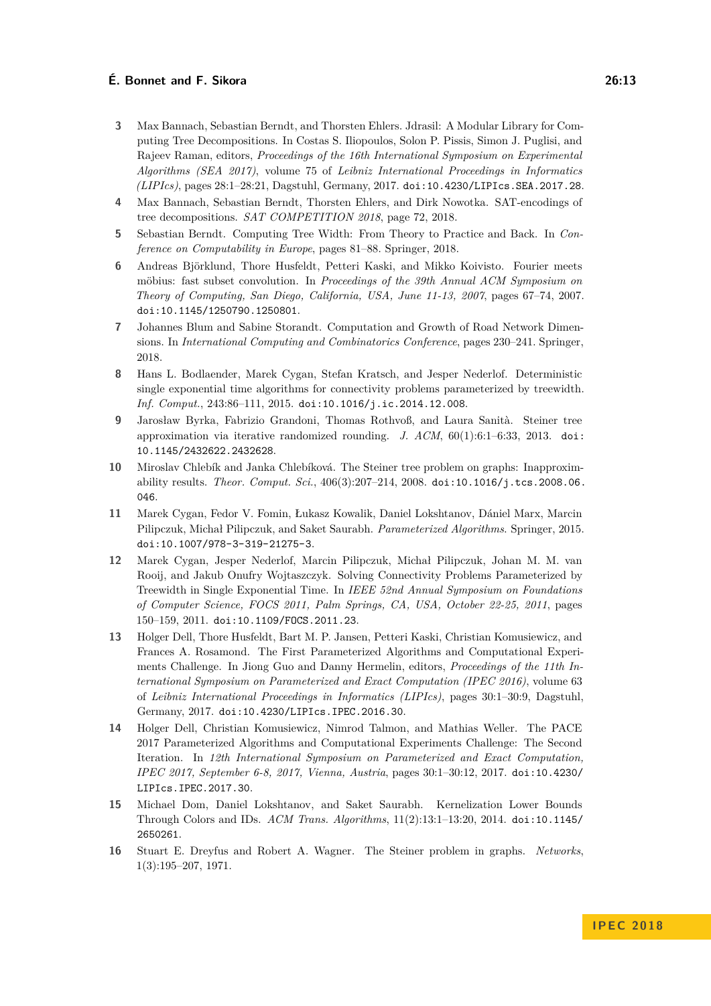- <span id="page-12-1"></span>**3** Max Bannach, Sebastian Berndt, and Thorsten Ehlers. Jdrasil: A Modular Library for Computing Tree Decompositions. In Costas S. Iliopoulos, Solon P. Pissis, Simon J. Puglisi, and Rajeev Raman, editors, *Proceedings of the 16th International Symposium on Experimental Algorithms (SEA 2017)*, volume 75 of *Leibniz International Proceedings in Informatics (LIPIcs)*, pages 28:1–28:21, Dagstuhl, Germany, 2017. [doi:10.4230/LIPIcs.SEA.2017.28](http://dx.doi.org/10.4230/LIPIcs.SEA.2017.28).
- <span id="page-12-5"></span>**4** Max Bannach, Sebastian Berndt, Thorsten Ehlers, and Dirk Nowotka. SAT-encodings of tree decompositions. *SAT COMPETITION 2018*, page 72, 2018.
- <span id="page-12-3"></span>**5** Sebastian Berndt. Computing Tree Width: From Theory to Practice and Back. In *Conference on Computability in Europe*, pages 81–88. Springer, 2018.
- <span id="page-12-7"></span>**6** Andreas Björklund, Thore Husfeldt, Petteri Kaski, and Mikko Koivisto. Fourier meets möbius: fast subset convolution. In *Proceedings of the 39th Annual ACM Symposium on Theory of Computing, San Diego, California, USA, June 11-13, 2007*, pages 67–74, 2007. [doi:10.1145/1250790.1250801](http://dx.doi.org/10.1145/1250790.1250801).
- <span id="page-12-4"></span>**7** Johannes Blum and Sabine Storandt. Computation and Growth of Road Network Dimensions. In *International Computing and Combinatorics Conference*, pages 230–241. Springer, 2018.
- <span id="page-12-9"></span>**8** Hans L. Bodlaender, Marek Cygan, Stefan Kratsch, and Jesper Nederlof. Deterministic single exponential time algorithms for connectivity problems parameterized by treewidth. *Inf. Comput.*, 243:86–111, 2015. [doi:10.1016/j.ic.2014.12.008](http://dx.doi.org/10.1016/j.ic.2014.12.008).
- <span id="page-12-12"></span>**9** Jarosław Byrka, Fabrizio Grandoni, Thomas Rothvoß, and Laura Sanità. Steiner tree approximation via iterative randomized rounding. *J. ACM*, 60(1):6:1–6:33, 2013. [doi:](http://dx.doi.org/10.1145/2432622.2432628) [10.1145/2432622.2432628](http://dx.doi.org/10.1145/2432622.2432628).
- <span id="page-12-13"></span>**10** Miroslav Chlebík and Janka Chlebíková. The Steiner tree problem on graphs: Inapproximability results. *Theor. Comput. Sci.*, 406(3):207–214, 2008. [doi:10.1016/j.tcs.2008.06.](http://dx.doi.org/10.1016/j.tcs.2008.06.046) [046](http://dx.doi.org/10.1016/j.tcs.2008.06.046).
- <span id="page-12-10"></span>**11** Marek Cygan, Fedor V. Fomin, Łukasz Kowalik, Daniel Lokshtanov, Dániel Marx, Marcin Pilipczuk, Michał Pilipczuk, and Saket Saurabh. *Parameterized Algorithms*. Springer, 2015. [doi:10.1007/978-3-319-21275-3](http://dx.doi.org/10.1007/978-3-319-21275-3).
- <span id="page-12-8"></span>**12** Marek Cygan, Jesper Nederlof, Marcin Pilipczuk, Michał Pilipczuk, Johan M. M. van Rooij, and Jakub Onufry Wojtaszczyk. Solving Connectivity Problems Parameterized by Treewidth in Single Exponential Time. In *IEEE 52nd Annual Symposium on Foundations of Computer Science, FOCS 2011, Palm Springs, CA, USA, October 22-25, 2011*, pages 150–159, 2011. [doi:10.1109/FOCS.2011.23](http://dx.doi.org/10.1109/FOCS.2011.23).
- <span id="page-12-0"></span>**13** Holger Dell, Thore Husfeldt, Bart M. P. Jansen, Petteri Kaski, Christian Komusiewicz, and Frances A. Rosamond. The First Parameterized Algorithms and Computational Experiments Challenge. In Jiong Guo and Danny Hermelin, editors, *Proceedings of the 11th International Symposium on Parameterized and Exact Computation (IPEC 2016)*, volume 63 of *Leibniz International Proceedings in Informatics (LIPIcs)*, pages 30:1–30:9, Dagstuhl, Germany, 2017. [doi:10.4230/LIPIcs.IPEC.2016.30](http://dx.doi.org/10.4230/LIPIcs.IPEC.2016.30).
- <span id="page-12-2"></span>**14** Holger Dell, Christian Komusiewicz, Nimrod Talmon, and Mathias Weller. The PACE 2017 Parameterized Algorithms and Computational Experiments Challenge: The Second Iteration. In *12th International Symposium on Parameterized and Exact Computation, IPEC 2017, September 6-8, 2017, Vienna, Austria*, pages 30:1–30:12, 2017. [doi:10.4230/](http://dx.doi.org/10.4230/LIPIcs.IPEC.2017.30) [LIPIcs.IPEC.2017.30](http://dx.doi.org/10.4230/LIPIcs.IPEC.2017.30).
- <span id="page-12-11"></span>**15** Michael Dom, Daniel Lokshtanov, and Saket Saurabh. Kernelization Lower Bounds Through Colors and IDs. *ACM Trans. Algorithms*, 11(2):13:1–13:20, 2014. [doi:10.1145/](http://dx.doi.org/10.1145/2650261) [2650261](http://dx.doi.org/10.1145/2650261).
- <span id="page-12-6"></span>**16** Stuart E. Dreyfus and Robert A. Wagner. The Steiner problem in graphs. *Networks*, 1(3):195–207, 1971.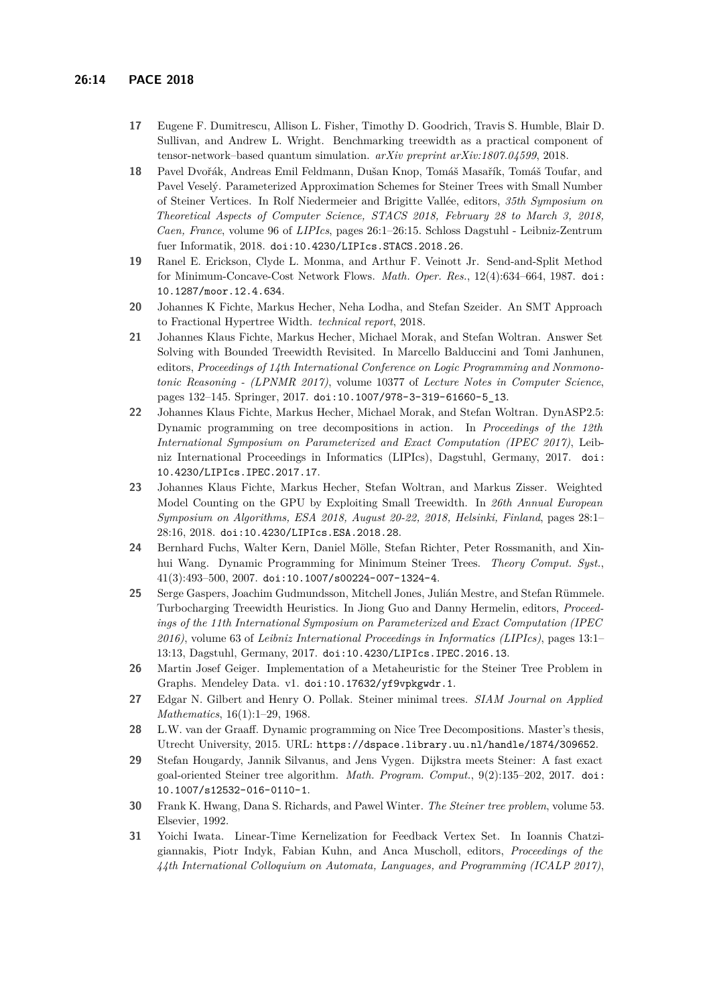- <span id="page-13-5"></span>**17** Eugene F. Dumitrescu, Allison L. Fisher, Timothy D. Goodrich, Travis S. Humble, Blair D. Sullivan, and Andrew L. Wright. Benchmarking treewidth as a practical component of tensor-network–based quantum simulation. *arXiv preprint arXiv:1807.04599*, 2018.
- <span id="page-13-13"></span>**18** Pavel Dvořák, Andreas Emil Feldmann, Dušan Knop, Tomáš Masařík, Tomáš Toufar, and Pavel Veselý. Parameterized Approximation Schemes for Steiner Trees with Small Number of Steiner Vertices. In Rolf Niedermeier and Brigitte Vallée, editors, *35th Symposium on Theoretical Aspects of Computer Science, STACS 2018, February 28 to March 3, 2018, Caen, France*, volume 96 of *LIPIcs*, pages 26:1–26:15. Schloss Dagstuhl - Leibniz-Zentrum fuer Informatik, 2018. [doi:10.4230/LIPIcs.STACS.2018.26](http://dx.doi.org/10.4230/LIPIcs.STACS.2018.26).
- <span id="page-13-8"></span>**19** Ranel E. Erickson, Clyde L. Monma, and Arthur F. Veinott Jr. Send-and-Split Method for Minimum-Concave-Cost Network Flows. *Math. Oper. Res.*, 12(4):634–664, 1987. [doi:](http://dx.doi.org/10.1287/moor.12.4.634) [10.1287/moor.12.4.634](http://dx.doi.org/10.1287/moor.12.4.634).
- <span id="page-13-4"></span>**20** Johannes K Fichte, Markus Hecher, Neha Lodha, and Stefan Szeider. An SMT Approach to Fractional Hypertree Width. *technical report*, 2018.
- <span id="page-13-0"></span>**21** Johannes Klaus Fichte, Markus Hecher, Michael Morak, and Stefan Woltran. Answer Set Solving with Bounded Treewidth Revisited. In Marcello Balduccini and Tomi Janhunen, editors, *Proceedings of 14th International Conference on Logic Programming and Nonmonotonic Reasoning - (LPNMR 2017)*, volume 10377 of *Lecture Notes in Computer Science*, pages 132–145. Springer, 2017. [doi:10.1007/978-3-319-61660-5\\_13](http://dx.doi.org/10.1007/978-3-319-61660-5_13).
- <span id="page-13-1"></span>**22** Johannes Klaus Fichte, Markus Hecher, Michael Morak, and Stefan Woltran. DynASP2.5: Dynamic programming on tree decompositions in action. In *Proceedings of the 12th International Symposium on Parameterized and Exact Computation (IPEC 2017)*, Leibniz International Proceedings in Informatics (LIPIcs), Dagstuhl, Germany, 2017. [doi:](http://dx.doi.org/10.4230/LIPIcs.IPEC.2017.17) [10.4230/LIPIcs.IPEC.2017.17](http://dx.doi.org/10.4230/LIPIcs.IPEC.2017.17).
- <span id="page-13-6"></span>**23** Johannes Klaus Fichte, Markus Hecher, Stefan Woltran, and Markus Zisser. Weighted Model Counting on the GPU by Exploiting Small Treewidth. In *26th Annual European Symposium on Algorithms, ESA 2018, August 20-22, 2018, Helsinki, Finland*, pages 28:1– 28:16, 2018. [doi:10.4230/LIPIcs.ESA.2018.28](http://dx.doi.org/10.4230/LIPIcs.ESA.2018.28).
- <span id="page-13-9"></span>**24** Bernhard Fuchs, Walter Kern, Daniel Mölle, Stefan Richter, Peter Rossmanith, and Xinhui Wang. Dynamic Programming for Minimum Steiner Trees. *Theory Comput. Syst.*, 41(3):493–500, 2007. [doi:10.1007/s00224-007-1324-4](http://dx.doi.org/10.1007/s00224-007-1324-4).
- <span id="page-13-2"></span>**25** Serge Gaspers, Joachim Gudmundsson, Mitchell Jones, Julián Mestre, and Stefan Rümmele. Turbocharging Treewidth Heuristics. In Jiong Guo and Danny Hermelin, editors, *Proceedings of the 11th International Symposium on Parameterized and Exact Computation (IPEC 2016)*, volume 63 of *Leibniz International Proceedings in Informatics (LIPIcs)*, pages 13:1– 13:13, Dagstuhl, Germany, 2017. [doi:10.4230/LIPIcs.IPEC.2016.13](http://dx.doi.org/10.4230/LIPIcs.IPEC.2016.13).
- <span id="page-13-14"></span>**26** Martin Josef Geiger. Implementation of a Metaheuristic for the Steiner Tree Problem in Graphs. Mendeley Data. v1. [doi:10.17632/yf9vpkgwdr.1](http://dx.doi.org/10.17632/yf9vpkgwdr.1).
- <span id="page-13-10"></span>**27** Edgar N. Gilbert and Henry O. Pollak. Steiner minimal trees. *SIAM Journal on Applied Mathematics*, 16(1):1–29, 1968.
- <span id="page-13-12"></span>**28** L.W. van der Graaff. Dynamic programming on Nice Tree Decompositions. Master's thesis, Utrecht University, 2015. URL: <https://dspace.library.uu.nl/handle/1874/309652>.
- <span id="page-13-11"></span>**29** Stefan Hougardy, Jannik Silvanus, and Jens Vygen. Dijkstra meets Steiner: A fast exact goal-oriented Steiner tree algorithm. *Math. Program. Comput.*, 9(2):135–202, 2017. [doi:](http://dx.doi.org/10.1007/s12532-016-0110-1) [10.1007/s12532-016-0110-1](http://dx.doi.org/10.1007/s12532-016-0110-1).
- <span id="page-13-7"></span>**30** Frank K. Hwang, Dana S. Richards, and Pawel Winter. *The Steiner tree problem*, volume 53. Elsevier, 1992.
- <span id="page-13-3"></span>**31** Yoichi Iwata. Linear-Time Kernelization for Feedback Vertex Set. In Ioannis Chatzigiannakis, Piotr Indyk, Fabian Kuhn, and Anca Muscholl, editors, *Proceedings of the 44th International Colloquium on Automata, Languages, and Programming (ICALP 2017)*,